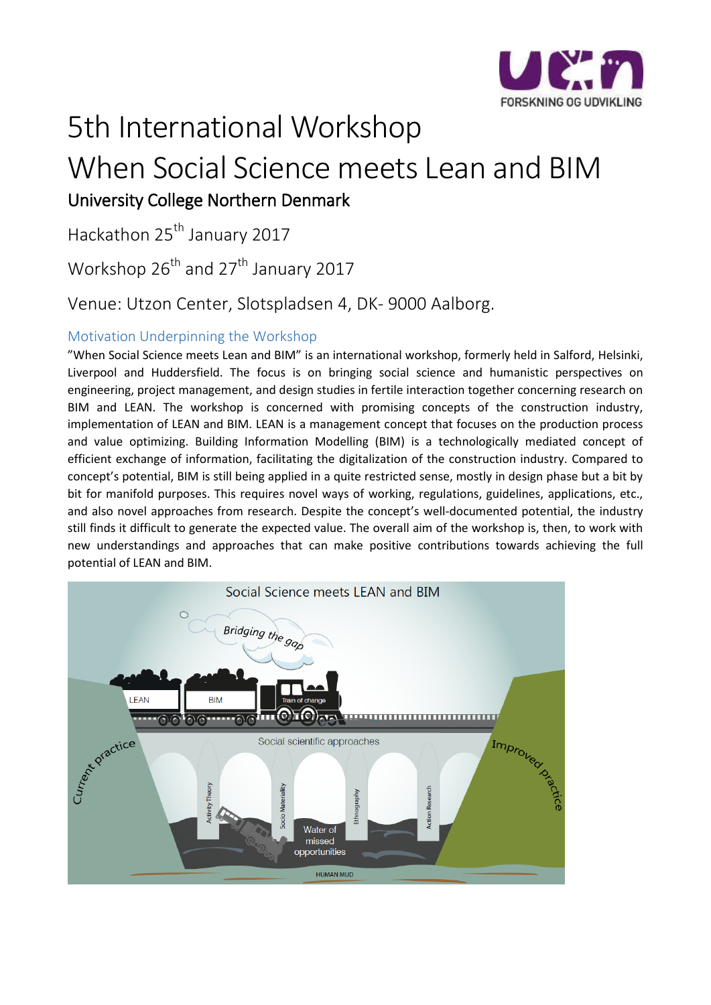

# 5th International Workshop When Social Science meets Lean and BIM University College Northern Denmark

Hackathon 25<sup>th</sup> January 2017

Workshop  $26^{th}$  and  $27^{th}$  January 2017

Venue: Utzon Center, Slotspladsen 4, DK- 9000 Aalborg.

## Motivation Underpinning the Workshop

"When Social Science meets Lean and BIM" is an international workshop, formerly held in Salford, Helsinki, Liverpool and Huddersfield. The focus is on bringing social science and humanistic perspectives on engineering, project management, and design studies in fertile interaction together concerning research on BIM and LEAN. The workshop is concerned with promising concepts of the construction industry, implementation of LEAN and BIM. LEAN is a management concept that focuses on the production process and value optimizing. Building Information Modelling (BIM) is a technologically mediated concept of efficient exchange of information, facilitating the digitalization of the construction industry. Compared to concept's potential, BIM is still being applied in a quite restricted sense, mostly in design phase but a bit by bit for manifold purposes. This requires novel ways of working, regulations, guidelines, applications, etc., and also novel approaches from research. Despite the concept's well-documented potential, the industry still finds it difficult to generate the expected value. The overall aim of the workshop is, then, to work with new understandings and approaches that can make positive contributions towards achieving the full potential of LEAN and BIM.

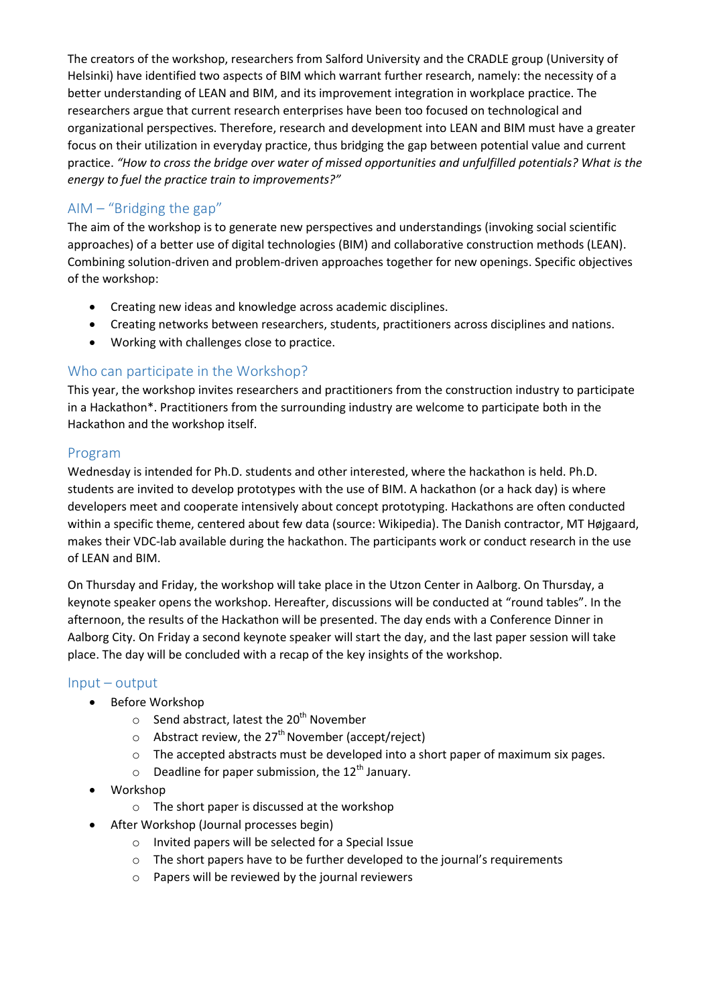The creators of the workshop, researchers from Salford University and the CRADLE group (University of Helsinki) have identified two aspects of BIM which warrant further research, namely: the necessity of a better understanding of LEAN and BIM, and its improvement integration in workplace practice. The researchers argue that current research enterprises have been too focused on technological and organizational perspectives. Therefore, research and development into LEAN and BIM must have a greater focus on their utilization in everyday practice, thus bridging the gap between potential value and current practice. *"How to cross the bridge over water of missed opportunities and unfulfilled potentials? What is the energy to fuel the practice train to improvements?"*

# AIM  $-$  "Bridging the gap"

The aim of the workshop is to generate new perspectives and understandings (invoking social scientific approaches) of a better use of digital technologies (BIM) and collaborative construction methods (LEAN). Combining solution-driven and problem-driven approaches together for new openings. Specific objectives of the workshop:

- Creating new ideas and knowledge across academic disciplines.
- Creating networks between researchers, students, practitioners across disciplines and nations.
- Working with challenges close to practice.

# Who can participate in the Workshop?

This year, the workshop invites researchers and practitioners from the construction industry to participate in a Hackathon\*. Practitioners from the surrounding industry are welcome to participate both in the Hackathon and the workshop itself.

## Program

Wednesday is intended for Ph.D. students and other interested, where the hackathon is held. Ph.D. students are invited to develop prototypes with the use of BIM. A hackathon (or a hack day) is where developers meet and cooperate intensively about concept prototyping. Hackathons are often conducted within a specific theme, centered about few data (source: Wikipedia). The Danish contractor, MT Højgaard, makes their VDC-lab available during the hackathon. The participants work or conduct research in the use of LEAN and BIM.

On Thursday and Friday, the workshop will take place in the Utzon Center in Aalborg. On Thursday, a keynote speaker opens the workshop. Hereafter, discussions will be conducted at "round tables". In the afternoon, the results of the Hackathon will be presented. The day ends with a Conference Dinner in Aalborg City. On Friday a second keynote speaker will start the day, and the last paper session will take place. The day will be concluded with a recap of the key insights of the workshop.

### Input – output

- Before Workshop
	- $\circ$  Send abstract, latest the 20<sup>th</sup> November
	- $\circ$  Abstract review, the 27<sup>th</sup> November (accept/reject)
	- o The accepted abstracts must be developed into a short paper of maximum six pages.
	- $\circ$  Deadline for paper submission, the 12<sup>th</sup> January.
- Workshop
	- o The short paper is discussed at the workshop
	- After Workshop (Journal processes begin)
		- o Invited papers will be selected for a Special Issue
		- o The short papers have to be further developed to the journal's requirements
		- o Papers will be reviewed by the journal reviewers